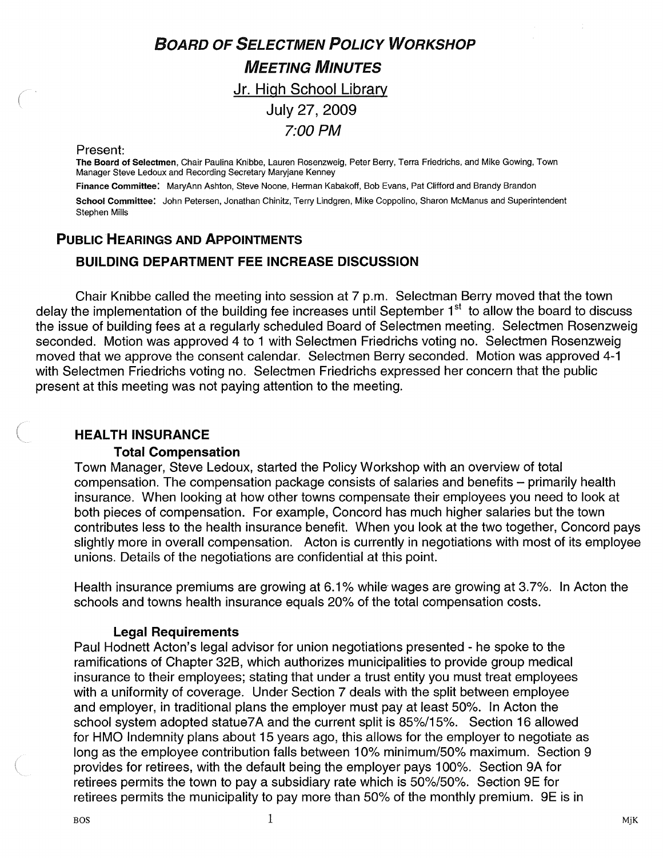# BOARD OF SELECTMEN POLICY WORKSHOP MEETING MINUTES Jr. High School Library

July 27, 2009 7:00 PM

#### Present:

The Board of Selectmen, Chair Paulina Knibbe, Lauren Rosenzweig, Peter Berry, Terra Friedrichs, and Mike Gowing, Town Manager Steve Ledoux and Recording Secretary Maryjane Kenney

Finance Committee: MaryAnn Ashton, Steve Noone, Herman Kabakoff, Bob Evans, Pat Clifford and Brandy Brandon

School Committee: John Petersen, Jonathan Chinitz, Terry Lindgren, Mike Coppolino, Sharon McManus and Superintendent Stephen Mills

# PUBLIC HEARINGS AND APPOINTMENTS

#### BUILDING DEPARTMENT FEE INCREASE DISCUSSION

Chair Knibbe called the meeting into session at 7 p.m. Selectman Berry moved that the town delay the implementation of the building fee increases until September 1<sup>st</sup> to allow the board to discuss the issue of building fees at a regularly scheduled Board of Selectmen meeting. Selectmen Rosenzweig seconded. Motion was approved 4 to <sup>1</sup> with Selectmen Friedrichs voting no. Selectmen Rosenzweig moved that we approve the consent calendar. Selectmen Berry seconded. Motion was approved 4-1 with Selectmen Friedrichs voting no. Selectmen Friedrichs expressed her concern that the public present at this meeting was not paying attention to the meeting.

#### HEALTH INSURANCE

#### Total Compensation

Town Manager, Steve Ledoux, started the Policy Workshop with an overview of total compensation. The compensation package consists of salaries and benefits — primarily health insurance. When looking at how other towns compensate their employees you need to look at both pieces of compensation. For example, Concord has much higher salaries but the town contributes less to the health insurance benefit. When you look at the two together, Concord pays slightly more in overall compensation. Acton is currently in negotiations with most of its employee unions. Details of the negotiations are confidential at this point.

Health insurance premiums are growing at 6.1% while wages are growing at 3.7%. In Acton the schools and towns health insurance equals 20% of the total compensation costs.

#### Legal Requirements

Paul Hodnett Acton's legal advisor for union negotiations presented - he spoke to the ramifications of Chapter 32B, which authorizes municipalities to provide group medical insurance to their employees; stating that under a trust entity you must treat employees with a uniformity of coverage. Under Section 7 deals with the split between employee and employer, in traditional plans the employer must pay at least 50%. In Acton the school system adopted statue7A and the current split is 85%/15%. Section 16 allowed for HMO Indemnity plans about 15 years ago, this allows for the employer to negotiate as long as the employee contribution falls between 10% minimum/50% maximum. Section 9 provides for retirees, with the default being the employer pays 100%. Section 9A for retirees permits the town to pay a subsidiary rate which is 50%/50%. Section 9E for retirees permits the municipality to pay more than 50% of the monthly premium. 9E is in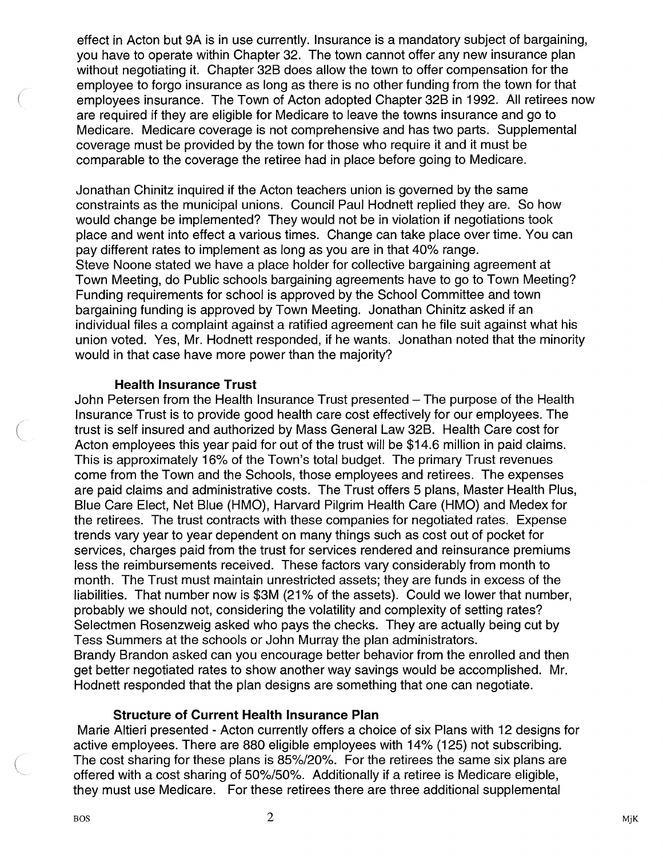effect in Acton but 9A is in use currently. Insurance is a mandatory subject of bargaining, you have to operate within Chapter 32. The town cannot offer any new insurance plan without negotiating it. Chapter 32B does allow the town to offer compensation for the employee to forgo insurance as long as there is no other funding from the town for that employees insurance. The Town of Acton adopted Chapter 32B in 1992. All retirees now are required if they are eligible for Medicare to leave the towns insurance and go to Medicare. Medicare coverage is not comprehensive and has two parts. Supplemental coverage must be provided by the town for those who require it and it must be comparable to the coverage the retiree had in place before going to Medicare.

Jonathan Chinitz inquired if the Acton teachers union is governed by the same constraints as the municipal unions. Council Paul Hodnett replied they are. So how would change be implemented? They would not be in violation if negotiations took place and went into effect a various times. Change can take place over time. You can pay different rates to implement as long as you are in that 40% range. Steve Noone stated we have a place holder for collective bargaining agreement at Town Meeting, do Public schools bargaining agreements have to go to Town Meeting? Funding requirements for school is approved by the School Committee and town bargaining funding is approved by Town Meeting. Jonathan Chinitz asked if an individual files a complaint against a ratified agreement can he file suit against what his union voted. Yes, Mr. Hodnett responded, if he wants. Jonathan noted that the minority

#### Health Insurance Trust

would in that case have more power than the majority?

John Petersen from the Health Insurance Trust presented — The purpose of the Health Insurance Trust is to provide good health care cost effectively for our employees. The trust is self insured and authorized by Mass General Law 32B. Health Care cost for Acton employees this year paid for out of the trust will be \$14.6 million in paid claims. This is approximately 16% of the Town's total budget. The primary Trust revenues come from the Town and the Schools, those employees and retirees. The expenses are paid claims and administrative costs. The Trust offers 5 plans, Master Health Plus, Blue Care Elect, Net Blue (HMO), Harvard Pilgrim Health Care (HMO) and Medex for the retirees. The trust contracts with these companies for negotiated rates. Expense trends vary year to year dependent on many things such as cost out of pocket for services, charges paid from the trust for services rendered and reinsurance premiums less the reimbursements received. These factors vary considerably from month to month. The Trust must maintain unrestricted assets; they are funds in excess of the liabilities. That number now is \$3M (21% of the assets). Could we lower that number, probably we should not, considering the volatility and complexity of setting rates? Selectmen Rosenzweig asked who pays the checks. They are actually being cut by Tess Summers at the schools or John Murray the plan administrators. Brandy Brandon asked can you encourage better behavior from the enrolled and then get better negotiated rates to show another way savings would be accomplished. Mr. Hodnett responded that the plan designs are something that one can negotiate.

#### Structure of Current Health Insurance Plan

Marie Altieri presented - Acton currently offers a choice of six Plans with 12 designs for active employees. There are 880 eligible employees with 14% (125) not subscribing. The cost sharing for these plans is 85%/20%. For the retirees the same six plans are offered with a cost sharing of 50%150%. Additionally if a retiree is Medicare eligible, they must use Medicare. For these retirees there are three additional supplemental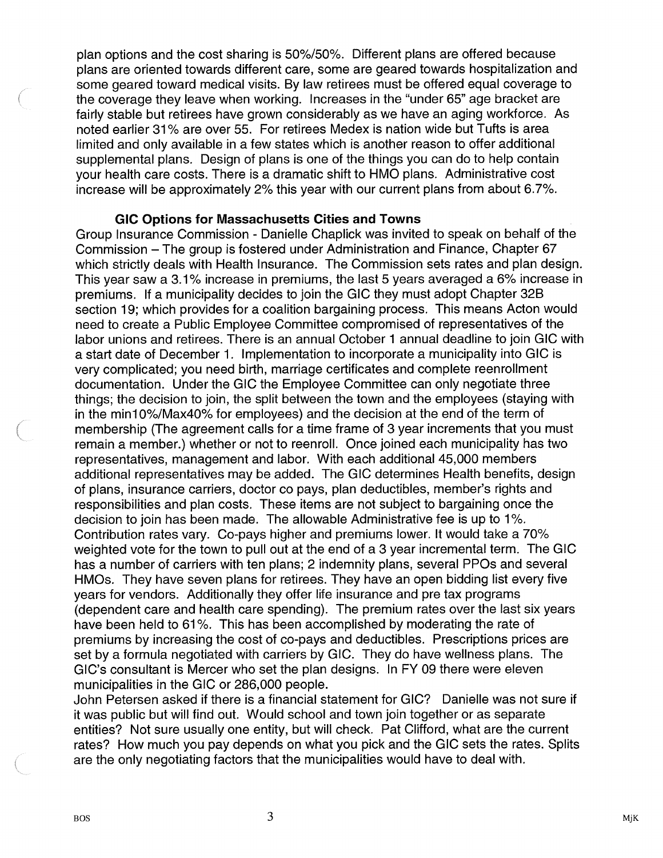plan options and the cost sharing is 50%/50%. Different plans are offered because plans are oriented towards different care, some are geared towards hospitalization and some geared toward medical visits. By law retirees must be offered equal coverage to the coverage they leave when working. Increases in the "under 65" age bracket are fairly stable but retirees have grown considerably as we have an aging workforce. As noted earlier 31 % are over 55. For retirees Medex is nation wide but Tufts is area limited and only available in a few states which is another reason to offer additional supplemental plans. Design of plans is one of the things you can do to help contain your health care costs. There is a dramatic shift to HMO plans. Administrative cost increase will be approximately 2% this year with our current plans from about 6.7%.

#### GIC Options for Massachusetts Cities and Towns

Group Insurance Commission - Danielle Chaplick was invited to speak on behalf of the Commission — The group is fostered under Administration and Finance, Chapter 67 which strictly deals with Health Insurance. The Commission sets rates and plan design. This year saw a 3.1% increase in premiums, the last 5 years averaged a 6% increase in premiums. If a municipality decides to join the GIC they must adopt Chapter 32B section 19; which provides for a coalition bargaining process. This means Acton would need to create a Public Employee Committee compromised of representatives of the labor unions and retirees. There is an annual October <sup>1</sup> annual deadline to join GIC with a start date of December 1. Implementation to incorporate a municipality into GIC is very complicated; you need birth, marriage certificates and complete reenrollment documentation. Under the GIC the Employee Committee can only negotiate three things; the decision to join, the split between the town and the employees (staying with in the min10%/Max40% for employees) and the decision at the end of the term of membership (The agreement calls for a time frame of 3 year increments that you must remain a member.) whether or not to reenroll. Once joined each municipality has two representatives, management and labor. With each additional 45,000 members additional representatives may be added. The GIC determines Health benefits, design of plans, insurance carriers, doctor co pays, plan deductibles, member's rights and responsibilities and plan costs. These items are not subject to bargaining once the decision to join has been made. The allowable Administrative fee is up to 1%. Contribution rates vary. Co-pays higher and premiums lower. It would take a 70% weighted vote for the town to pull out at the end of a 3 year incremental term. The GIC has a number of carriers with ten plans; 2 indemnity plans, several PPOs and several HMOs. They have seven plans for retirees. They have an open bidding list every five years for vendors. Additionally they offer life insurance and pre tax programs (dependent care and health care spending). The premium rates over the last six years have been held to 61%. This has been accomplished by moderating the rate of premiums by increasing the cost of co-pays and deductibles. Prescriptions prices are set by a formula negotiated with carriers by GIC. They do have wellness plans. The GIC's consultant is Mercer who set the plan designs. In FY 09 there were eleven municipalities in the GIC or 286,000 people.

John Petersen asked if there is a financial statement for GIC? Danielle was not sure if it was public but will find out. Would school and town join together or as separate entities? Not sure usually one entity, but will check. Pat Clifford, what are the current rates? How much you pay depends on what you pick and the GIC sets the rates. Splits are the only negotiating factors that the municipalities would have to deal with.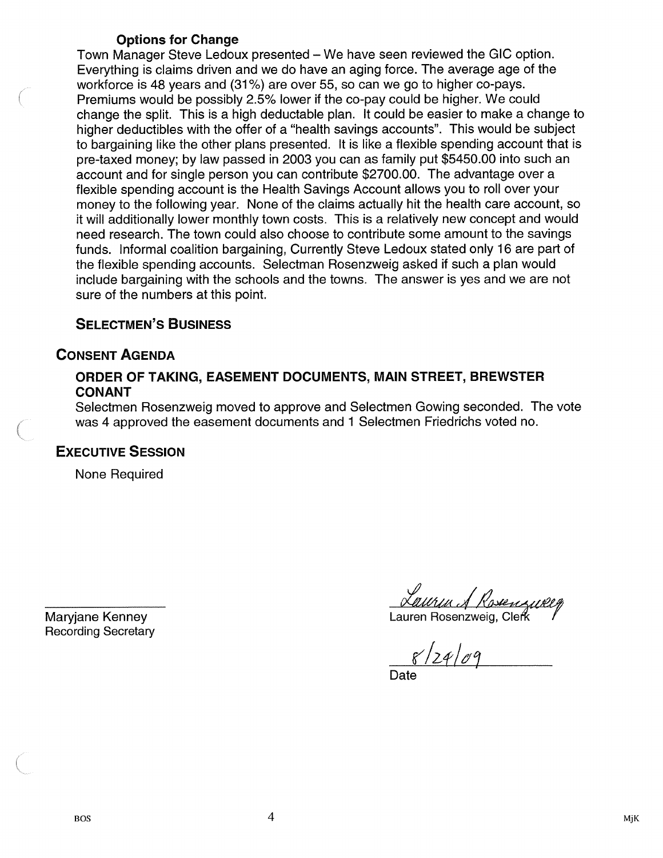### Options for Change

Town Manager Steve Ledoux presented — We have seen reviewed the GIC option. Everything is claims driven and we do have an aging force. The average age of the workforce is 48 years and (31%) are over 55, so can we go to higher co-pays. Premiums would be possibly 2.5% lower if the co-pay could be higher. We could change the split. This is a high deductable plan. It could be easier to make a change to higher deductibles with the offer of a "health savings accounts". This would be subject to bargaining like the other plans presented. It is like a flexible spending account that is pre-taxed money; by law passed in 2003 you can as family put \$5450.00 into such an account and for single person you can contribute \$2700.00. The advantage over a flexible spending account is the Health Savings Account allows you to roll over your money to the following year. None of the claims actually hit the health care account, so it will additionally lower monthly town costs. This is a relatively new concept and would need research. The town could also choose to contribute some amount to the savings funds. Informal coalition bargaining, Currently Steve Ledoux stated only 16 are part of the flexible spending accounts. Selectman Rosenzweig asked if such a plan would include bargaining with the schools and the towns. The answer is yes and we are not sure of the numbers at this point.

# SELECTMEN'S BUSINESS

# CONSENT AGENDA

### ORDER OF TAKING, EASEMENT DOCUMENTS, MAIN STREET, BREWSTER CONANT

Selectmen Rosenzweig moved to approve and Selectmen Gowing seconded. The vote was 4 approved the easement documents and <sup>1</sup> Selectmen Friedrichs voted no.

# EXECUTIVE SESSION

None Required

Recording Secretary

Maryjane Kenney Lauren Rosenzwei'' /

 $8/24/09$ 

Date